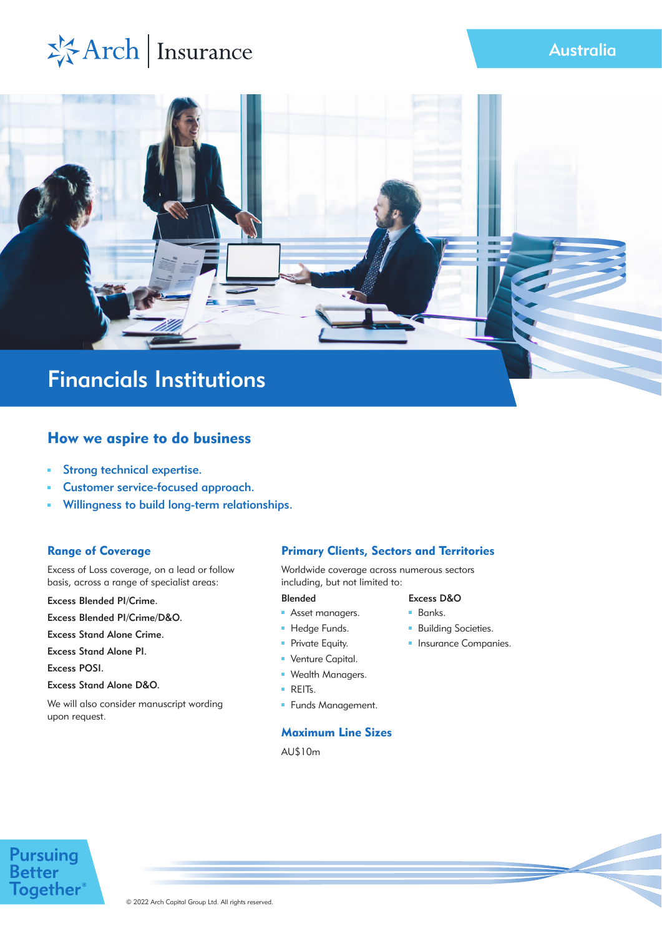## Australia

# ※Arch | Insurance



## Financials Institutions

## How we aspire to do business

- Strong technical expertise.  $\blacksquare$
- Customer service-focused approach.
- Willingness to build long-term relationships. ú,

## Range of Coverage

Excess of Loss coverage, on a lead or follow basis, across a range of specialist areas:

Excess Blended PI/Crime.

Excess Blended PI/Crime/D&O.

Excess Stand Alone Crime.

Excess Stand Alone PI.

Excess POSI.

Excess Stand Alone D&O.

We will also consider manuscript wording upon request.

## Primary Clients, Sectors and Territories

Worldwide coverage across numerous sectors including, but not limited to:

#### Blended

- **Asset managers.**
- Hedge Funds.
- **Private Equity.**
- **Venture Capital.**
- **Wealth Managers.**
- **REITS.**
- **Funds Management.**

## Maximum Line Sizes

AU\$10m

## Excess D&O

- **Banks.**
- **Building Societies.**
- **Insurance Companies.**

## **Pursuing**<br>Better **Together**